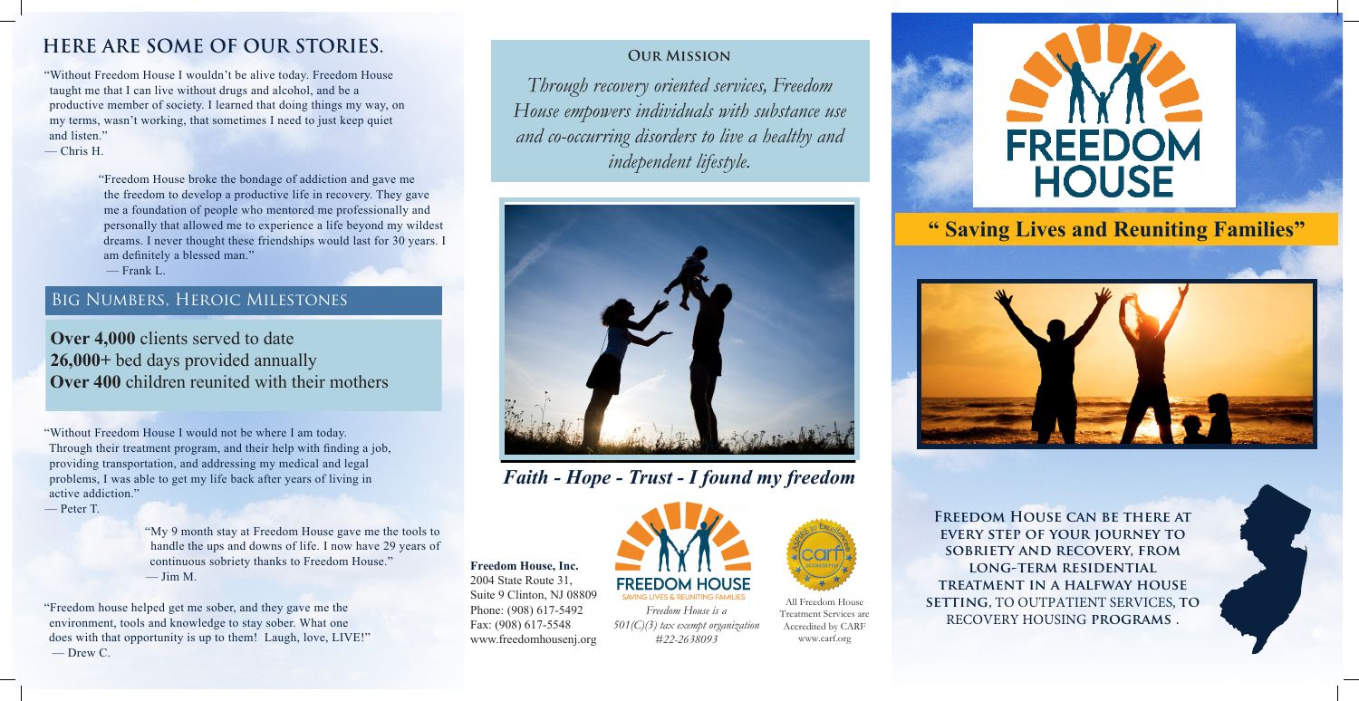# **" Saving Lives and Reuniting Families"**



#### **Our Mission**

*Through recovery oriented services, Freedom House empowers individuals with substance use and co-occurring disorders to live a healthy and independent lifestyle.*

**Freedom House, Inc.** 2004 State Route 31, Suite 9 Clinton, NJ 08809 Phone: (908) 617-5492 Fax: (908) 617-5548 www.freedomhousenj.org



*Freedom House is a 501(C)(3) tax exempt organization #22-2638093*

"Without Freedom House I would not be where I am today. Through their treatment program, and their help with finding a job, providing transportation, and addressing my medical and legal problems, I was able to get my life back after years of living in active addiction."

— Peter T.

## Big Numbers, Heroic Milestones

**Over 4,000** clients served to date **26,000+** bed days provided annually **Over 400** children reunited with their mothers

"Freedom House broke the bondage of addiction and gave me the freedom to develop a productive life in recovery. They gave me a foundation of people who mentored me professionally and personally that allowed me to experience a life beyond my wildest dreams. I never thought these friendships would last for 30 years. I am definitely a blessed man."

— Frank L.

"My 9 month stay at Freedom House gave me the tools to handle the ups and downs of life. I now have 29 years of continuous sobriety thanks to Freedom House." — Jim M.

"Freedom house helped get me sober, and they gave me the environment, tools and knowledge to stay sober. What one does with that opportunity is up to them! Laugh, love, LIVE!" — Drew C.



*Faith - Hope - Trust - I found my freedom*

"Without Freedom House I wouldn't be alive today. Freedom House taught me that I can live without drugs and alcohol, and be a productive member of society. I learned that doing things my way, on my terms, wasn't working, that sometimes I need to just keep quiet and listen."

— Chris H.

## **HERE ARE SOME OF OUR STORIES.**

**Freedom House can be there at every step of your journey to sobriety and recovery, from long-term residential treatment in a halfway house setting,** TO OUTPATIENT SERVICES, **to**  RECOVERY HOUSING **programs .**



All Freedom House Treatment Services are Accredited by CARF www.carf.org